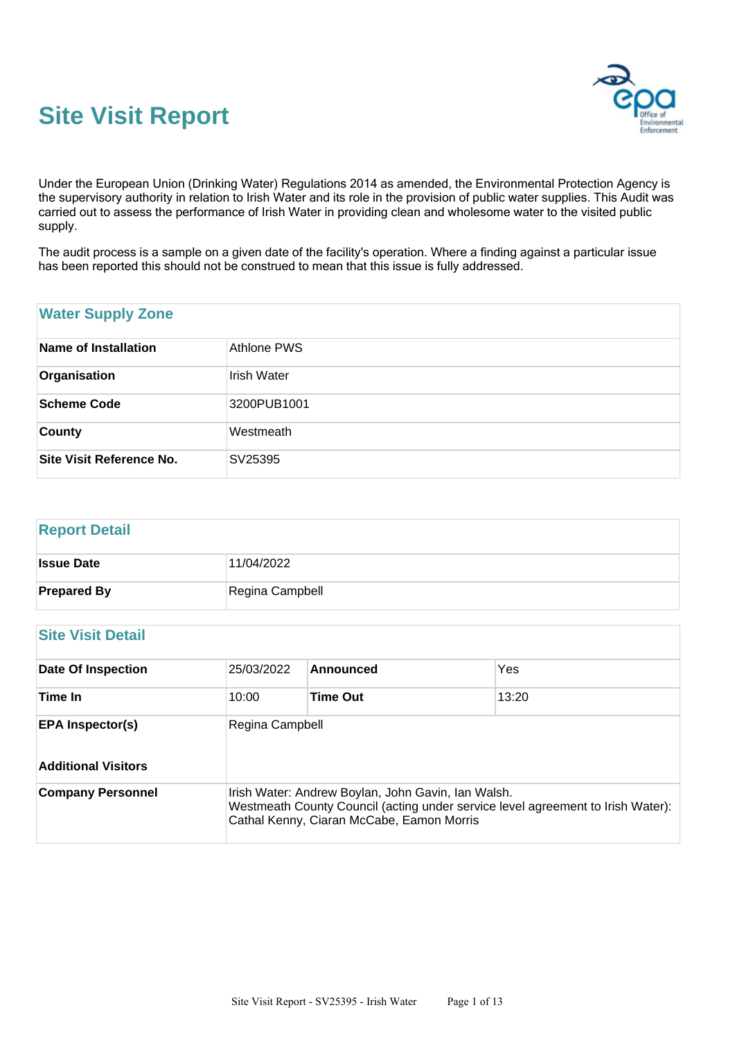



Under the European Union (Drinking Water) Regulations 2014 as amended, the Environmental Protection Agency is the supervisory authority in relation to Irish Water and its role in the provision of public water supplies. This Audit was carried out to assess the performance of Irish Water in providing clean and wholesome water to the visited public supply.

The audit process is a sample on a given date of the facility's operation. Where a finding against a particular issue has been reported this should not be construed to mean that this issue is fully addressed.

# **Water Supply Zone Name of Installation** Athlone PWS **Organisation** Irish Water **Scheme Code** 3200PUB1001 **County** Westmeath **Site Visit Reference No.** SV25395

# **Report Detail Issue Date** 11/04/2022 **Prepared By** Regina Campbell

# **Site Visit Detail**

| <b>Date Of Inspection</b>  | 25/03/2022      | Announced                                                                                                                                                                          | Yes   |
|----------------------------|-----------------|------------------------------------------------------------------------------------------------------------------------------------------------------------------------------------|-------|
| Time In                    | 10:00           | <b>Time Out</b>                                                                                                                                                                    | 13:20 |
| <b>EPA Inspector(s)</b>    | Regina Campbell |                                                                                                                                                                                    |       |
| <b>Additional Visitors</b> |                 |                                                                                                                                                                                    |       |
| <b>Company Personnel</b>   |                 | Irish Water: Andrew Boylan, John Gavin, Ian Walsh.<br>Westmeath County Council (acting under service level agreement to Irish Water):<br>Cathal Kenny, Ciaran McCabe, Eamon Morris |       |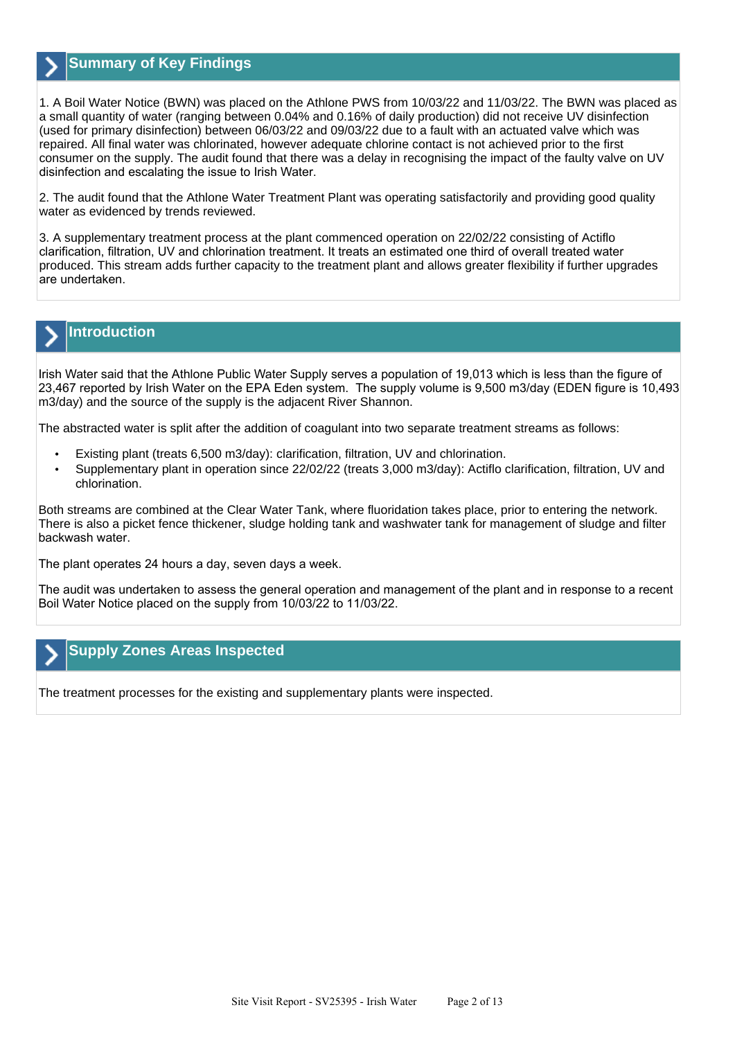

## **Summary of Key Findings**

1. A Boil Water Notice (BWN) was placed on the Athlone PWS from 10/03/22 and 11/03/22. The BWN was placed as a small quantity of water (ranging between 0.04% and 0.16% of daily production) did not receive UV disinfection (used for primary disinfection) between 06/03/22 and 09/03/22 due to a fault with an actuated valve which was repaired. All final water was chlorinated, however adequate chlorine contact is not achieved prior to the first consumer on the supply. The audit found that there was a delay in recognising the impact of the faulty valve on UV disinfection and escalating the issue to Irish Water.

2. The audit found that the Athlone Water Treatment Plant was operating satisfactorily and providing good quality water as evidenced by trends reviewed.

3. A supplementary treatment process at the plant commenced operation on 22/02/22 consisting of Actiflo clarification, filtration, UV and chlorination treatment. It treats an estimated one third of overall treated water produced. This stream adds further capacity to the treatment plant and allows greater flexibility if further upgrades are undertaken.

# **Introduction**

Irish Water said that the Athlone Public Water Supply serves a population of 19,013 which is less than the figure of 23,467 reported by Irish Water on the EPA Eden system. The supply volume is 9,500 m3/day (EDEN figure is 10,493 m3/day) and the source of the supply is the adjacent River Shannon.

The abstracted water is split after the addition of coagulant into two separate treatment streams as follows:

- Existing plant (treats 6,500 m3/day): clarification, filtration, UV and chlorination.
- Supplementary plant in operation since 22/02/22 (treats 3,000 m3/day): Actiflo clarification, filtration, UV and chlorination.

Both streams are combined at the Clear Water Tank, where fluoridation takes place, prior to entering the network. There is also a picket fence thickener, sludge holding tank and washwater tank for management of sludge and filter backwash water.

The plant operates 24 hours a day, seven days a week.

The audit was undertaken to assess the general operation and management of the plant and in response to a recent Boil Water Notice placed on the supply from 10/03/22 to 11/03/22.

## **Supply Zones Areas Inspected**

The treatment processes for the existing and supplementary plants were inspected.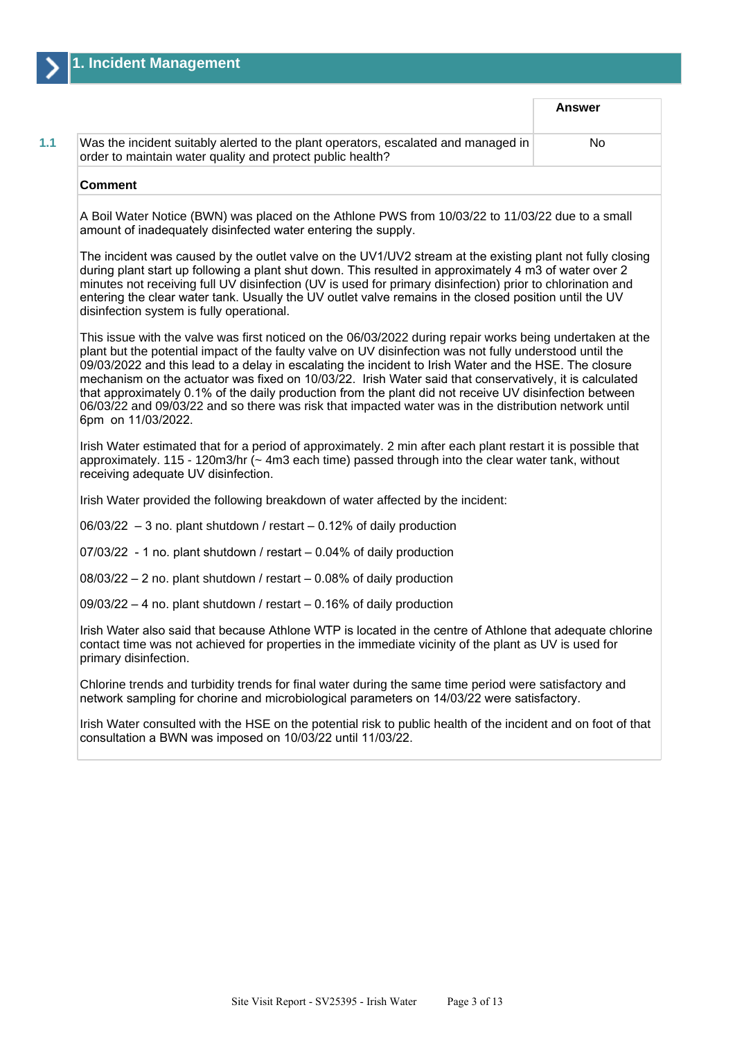|                                                                                                                                                                                                                                                                                                                                                                                                                                                                                                                                                                                                                                                                                     | <b>Answer</b> |
|-------------------------------------------------------------------------------------------------------------------------------------------------------------------------------------------------------------------------------------------------------------------------------------------------------------------------------------------------------------------------------------------------------------------------------------------------------------------------------------------------------------------------------------------------------------------------------------------------------------------------------------------------------------------------------------|---------------|
| Was the incident suitably alerted to the plant operators, escalated and managed in<br>order to maintain water quality and protect public health?                                                                                                                                                                                                                                                                                                                                                                                                                                                                                                                                    | No            |
| <b>Comment</b>                                                                                                                                                                                                                                                                                                                                                                                                                                                                                                                                                                                                                                                                      |               |
| A Boil Water Notice (BWN) was placed on the Athlone PWS from 10/03/22 to 11/03/22 due to a small<br>amount of inadequately disinfected water entering the supply.                                                                                                                                                                                                                                                                                                                                                                                                                                                                                                                   |               |
| The incident was caused by the outlet valve on the UV1/UV2 stream at the existing plant not fully closing<br>during plant start up following a plant shut down. This resulted in approximately 4 m3 of water over 2<br>minutes not receiving full UV disinfection (UV is used for primary disinfection) prior to chlorination and<br>entering the clear water tank. Usually the UV outlet valve remains in the closed position until the UV<br>disinfection system is fully operational.                                                                                                                                                                                            |               |
| This issue with the valve was first noticed on the 06/03/2022 during repair works being undertaken at the<br>plant but the potential impact of the faulty valve on UV disinfection was not fully understood until the<br>09/03/2022 and this lead to a delay in escalating the incident to Irish Water and the HSE. The closure<br>mechanism on the actuator was fixed on 10/03/22. Irish Water said that conservatively, it is calculated<br>that approximately 0.1% of the daily production from the plant did not receive UV disinfection between<br>06/03/22 and 09/03/22 and so there was risk that impacted water was in the distribution network until<br>6pm on 11/03/2022. |               |
| Irish Water estimated that for a period of approximately. 2 min after each plant restart it is possible that<br>approximately. 115 - 120m3/hr (~ 4m3 each time) passed through into the clear water tank, without<br>receiving adequate UV disinfection.                                                                                                                                                                                                                                                                                                                                                                                                                            |               |
| Irish Water provided the following breakdown of water affected by the incident:                                                                                                                                                                                                                                                                                                                                                                                                                                                                                                                                                                                                     |               |

 $06/03/22 - 3$  no. plant shutdown / restart  $-0.12%$  of daily production

07/03/22 - 1 no. plant shutdown / restart – 0.04% of daily production

08/03/22 – 2 no. plant shutdown / restart – 0.08% of daily production

09/03/22 – 4 no. plant shutdown / restart – 0.16% of daily production

Irish Water also said that because Athlone WTP is located in the centre of Athlone that adequate chlorine contact time was not achieved for properties in the immediate vicinity of the plant as UV is used for primary disinfection.

Chlorine trends and turbidity trends for final water during the same time period were satisfactory and network sampling for chorine and microbiological parameters on 14/03/22 were satisfactory.

Irish Water consulted with the HSE on the potential risk to public health of the incident and on foot of that consultation a BWN was imposed on 10/03/22 until 11/03/22.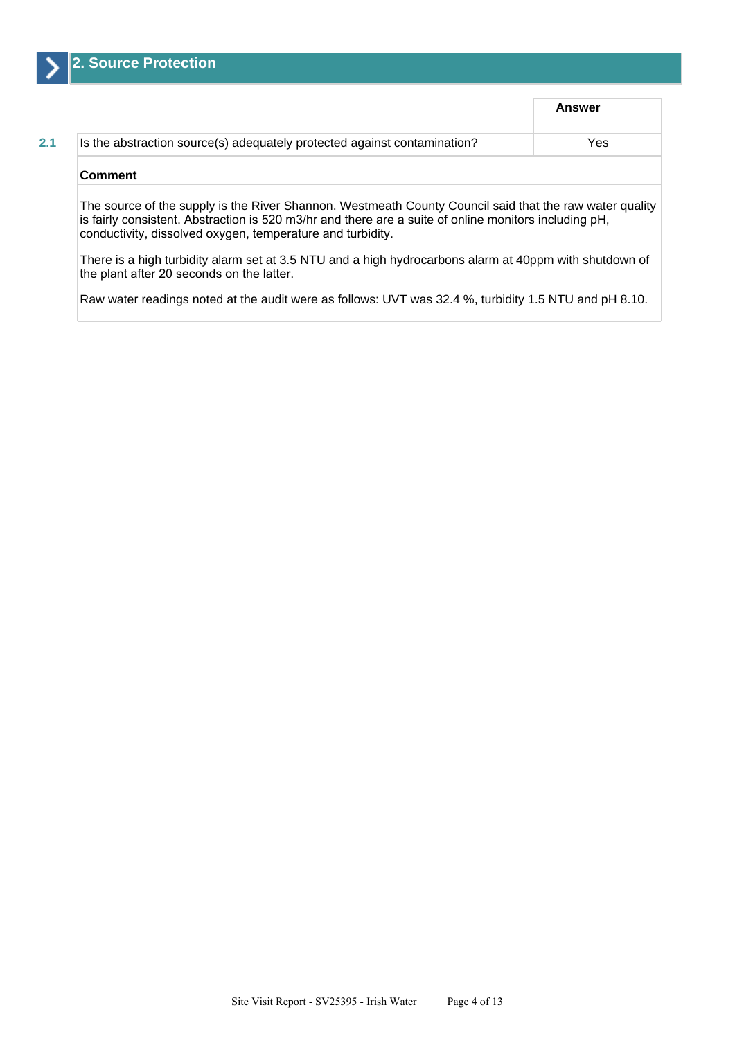

|                                                                                                                                                                                                                                                                                | Answer     |
|--------------------------------------------------------------------------------------------------------------------------------------------------------------------------------------------------------------------------------------------------------------------------------|------------|
| Is the abstraction source(s) adequately protected against contamination?                                                                                                                                                                                                       | <b>Yes</b> |
| <b>Comment</b>                                                                                                                                                                                                                                                                 |            |
| The source of the supply is the River Shannon. Westmeath County Council said that the raw water quality<br>is fairly consistent. Abstraction is 520 m3/hr and there are a suite of online monitors including pH,<br>conductivity, dissolved oxygen, temperature and turbidity. |            |

There is a high turbidity alarm set at 3.5 NTU and a high hydrocarbons alarm at 40ppm with shutdown of the plant after 20 seconds on the latter.

Raw water readings noted at the audit were as follows: UVT was 32.4 %, turbidity 1.5 NTU and pH 8.10.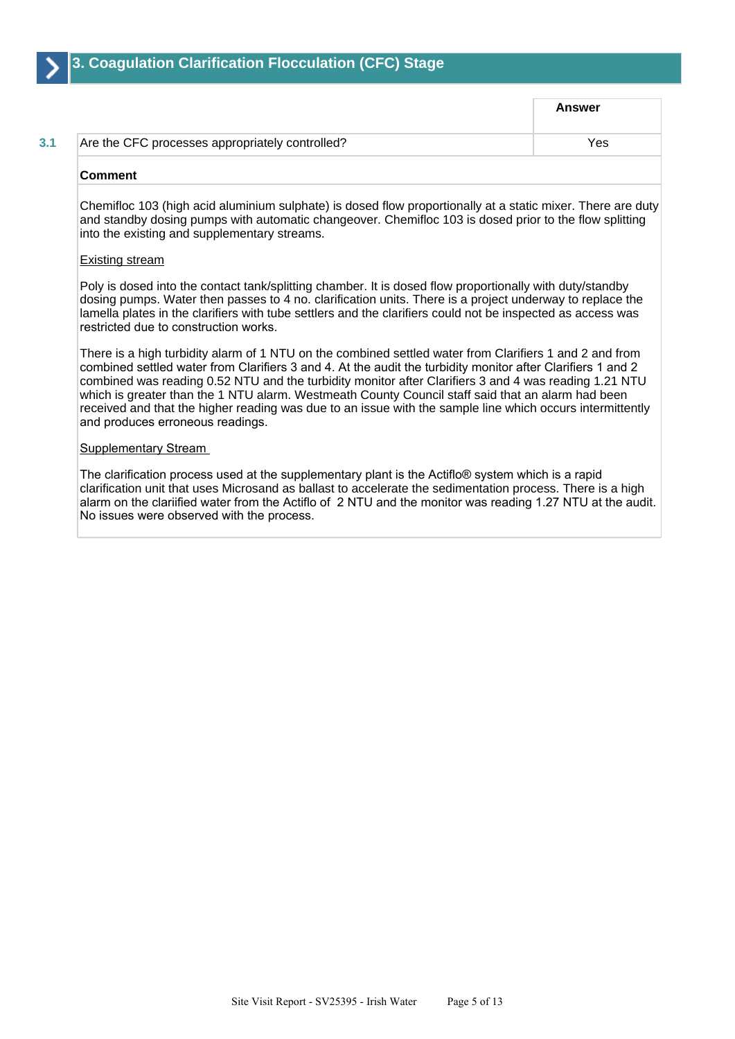

|                                                 | <b>Answer</b> |
|-------------------------------------------------|---------------|
| Are the CFC processes appropriately controlled? | Yes           |
|                                                 |               |

#### **Comment**

Chemifloc 103 (high acid aluminium sulphate) is dosed flow proportionally at a static mixer. There are duty and standby dosing pumps with automatic changeover. Chemifloc 103 is dosed prior to the flow splitting into the existing and supplementary streams.

#### Existing stream

Poly is dosed into the contact tank/splitting chamber. It is dosed flow proportionally with duty/standby dosing pumps. Water then passes to 4 no. clarification units. There is a project underway to replace the lamella plates in the clarifiers with tube settlers and the clarifiers could not be inspected as access was restricted due to construction works.

There is a high turbidity alarm of 1 NTU on the combined settled water from Clarifiers 1 and 2 and from combined settled water from Clarifiers 3 and 4. At the audit the turbidity monitor after Clarifiers 1 and 2 combined was reading 0.52 NTU and the turbidity monitor after Clarifiers 3 and 4 was reading 1.21 NTU which is greater than the 1 NTU alarm. Westmeath County Council staff said that an alarm had been received and that the higher reading was due to an issue with the sample line which occurs intermittently and produces erroneous readings.

#### Supplementary Stream

The clarification process used at the supplementary plant is the Actiflo® system which is a rapid clarification unit that uses Microsand as ballast to accelerate the sedimentation process. There is a high alarm on the clariified water from the Actiflo of 2 NTU and the monitor was reading 1.27 NTU at the audit. No issues were observed with the process.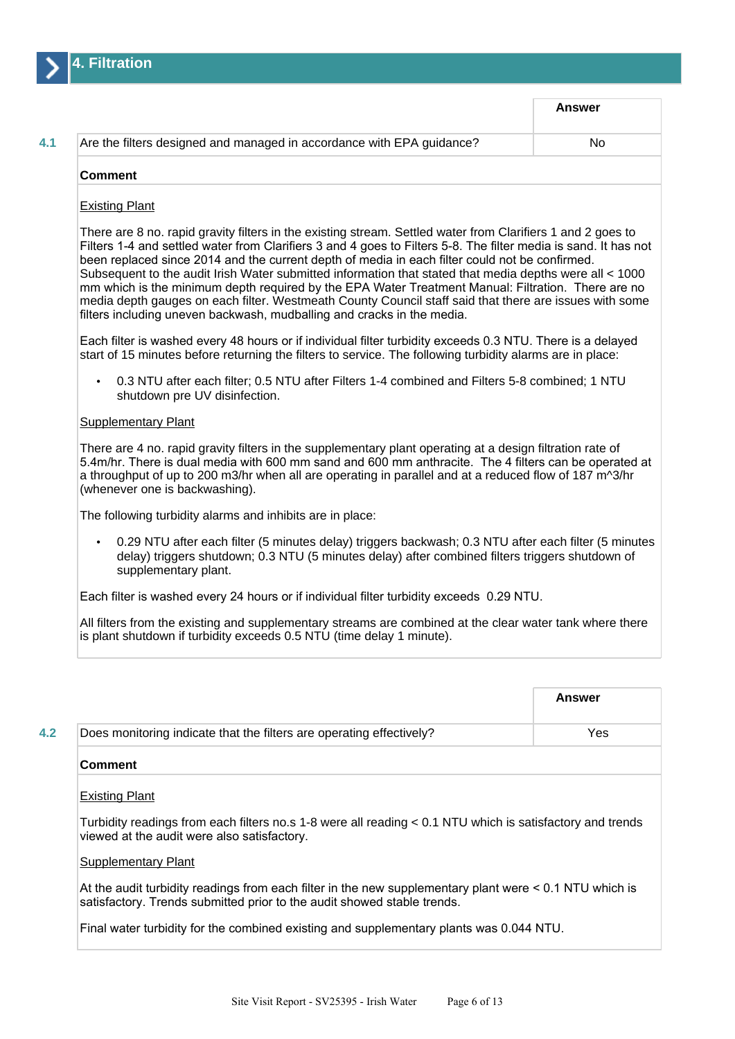

|                                                                       | <b>Answer</b> |
|-----------------------------------------------------------------------|---------------|
| Are the filters designed and managed in accordance with EPA guidance? | No            |
| <b>Comment</b>                                                        |               |

#### Existing Plant

There are 8 no. rapid gravity filters in the existing stream. Settled water from Clarifiers 1 and 2 goes to Filters 1-4 and settled water from Clarifiers 3 and 4 goes to Filters 5-8. The filter media is sand. It has not been replaced since 2014 and the current depth of media in each filter could not be confirmed. Subsequent to the audit Irish Water submitted information that stated that media depths were all < 1000 mm which is the minimum depth required by the EPA Water Treatment Manual: Filtration. There are no media depth gauges on each filter. Westmeath County Council staff said that there are issues with some filters including uneven backwash, mudballing and cracks in the media.

Each filter is washed every 48 hours or if individual filter turbidity exceeds 0.3 NTU. There is a delayed start of 15 minutes before returning the filters to service. The following turbidity alarms are in place:

• 0.3 NTU after each filter; 0.5 NTU after Filters 1-4 combined and Filters 5-8 combined; 1 NTU shutdown pre UV disinfection.

#### Supplementary Plant

There are 4 no. rapid gravity filters in the supplementary plant operating at a design filtration rate of 5.4m/hr. There is dual media with 600 mm sand and 600 mm anthracite. The 4 filters can be operated at a throughput of up to 200 m3/hr when all are operating in parallel and at a reduced flow of 187 m^3/hr (whenever one is backwashing).

The following turbidity alarms and inhibits are in place:

• 0.29 NTU after each filter (5 minutes delay) triggers backwash; 0.3 NTU after each filter (5 minutes delay) triggers shutdown; 0.3 NTU (5 minutes delay) after combined filters triggers shutdown of supplementary plant.

Each filter is washed every 24 hours or if individual filter turbidity exceeds 0.29 NTU.

All filters from the existing and supplementary streams are combined at the clear water tank where there is plant shutdown if turbidity exceeds 0.5 NTU (time delay 1 minute).

|     |                                                                      | Answer |
|-----|----------------------------------------------------------------------|--------|
| 4.2 | Does monitoring indicate that the filters are operating effectively? | Yes    |
|     | <b>Comment</b>                                                       |        |
|     | <b>Existing Plant</b>                                                |        |

Turbidity readings from each filters no.s 1-8 were all reading < 0.1 NTU which is satisfactory and trends viewed at the audit were also satisfactory.

#### Supplementary Plant

At the audit turbidity readings from each filter in the new supplementary plant were < 0.1 NTU which is satisfactory. Trends submitted prior to the audit showed stable trends.

Final water turbidity for the combined existing and supplementary plants was 0.044 NTU.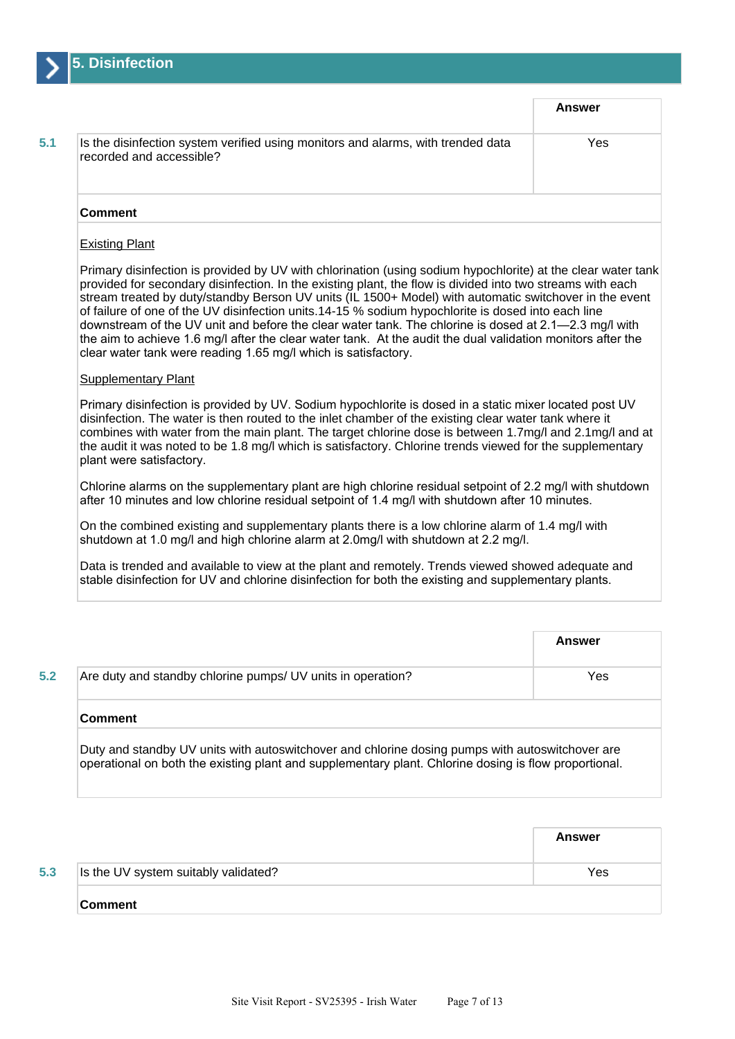

|                                                                                                              | Answer |
|--------------------------------------------------------------------------------------------------------------|--------|
| Is the disinfection system verified using monitors and alarms, with trended data<br>recorded and accessible? | Yes    |
| <b>Comment</b>                                                                                               |        |

## Existing Plant

Primary disinfection is provided by UV with chlorination (using sodium hypochlorite) at the clear water tank provided for secondary disinfection. In the existing plant, the flow is divided into two streams with each stream treated by duty/standby Berson UV units (IL 1500+ Model) with automatic switchover in the event of failure of one of the UV disinfection units.14-15 % sodium hypochlorite is dosed into each line downstream of the UV unit and before the clear water tank. The chlorine is dosed at 2.1—2.3 mg/l with the aim to achieve 1.6 mg/l after the clear water tank. At the audit the dual validation monitors after the clear water tank were reading 1.65 mg/l which is satisfactory.

#### **Supplementary Plant**

Primary disinfection is provided by UV. Sodium hypochlorite is dosed in a static mixer located post UV disinfection. The water is then routed to the inlet chamber of the existing clear water tank where it combines with water from the main plant. The target chlorine dose is between 1.7mg/l and 2.1mg/l and at the audit it was noted to be 1.8 mg/l which is satisfactory. Chlorine trends viewed for the supplementary plant were satisfactory.

Chlorine alarms on the supplementary plant are high chlorine residual setpoint of 2.2 mg/l with shutdown after 10 minutes and low chlorine residual setpoint of 1.4 mg/l with shutdown after 10 minutes.

On the combined existing and supplementary plants there is a low chlorine alarm of 1.4 mg/l with shutdown at 1.0 mg/l and high chlorine alarm at 2.0mg/l with shutdown at 2.2 mg/l.

Data is trended and available to view at the plant and remotely. Trends viewed showed adequate and stable disinfection for UV and chlorine disinfection for both the existing and supplementary plants.

|                                                                                                                                                                                                          | Answer |
|----------------------------------------------------------------------------------------------------------------------------------------------------------------------------------------------------------|--------|
| Are duty and standby chlorine pumps/ UV units in operation?                                                                                                                                              | Yes    |
| <b>Comment</b>                                                                                                                                                                                           |        |
| Duty and standby UV units with autoswitchover and chlorine dosing pumps with autoswitchover are<br>operational on both the existing plant and supplementary plant. Chlorine dosing is flow proportional. |        |

|     |                                      | Answer |
|-----|--------------------------------------|--------|
| 5.3 | Is the UV system suitably validated? | Yes    |
|     | ∣Comment                             |        |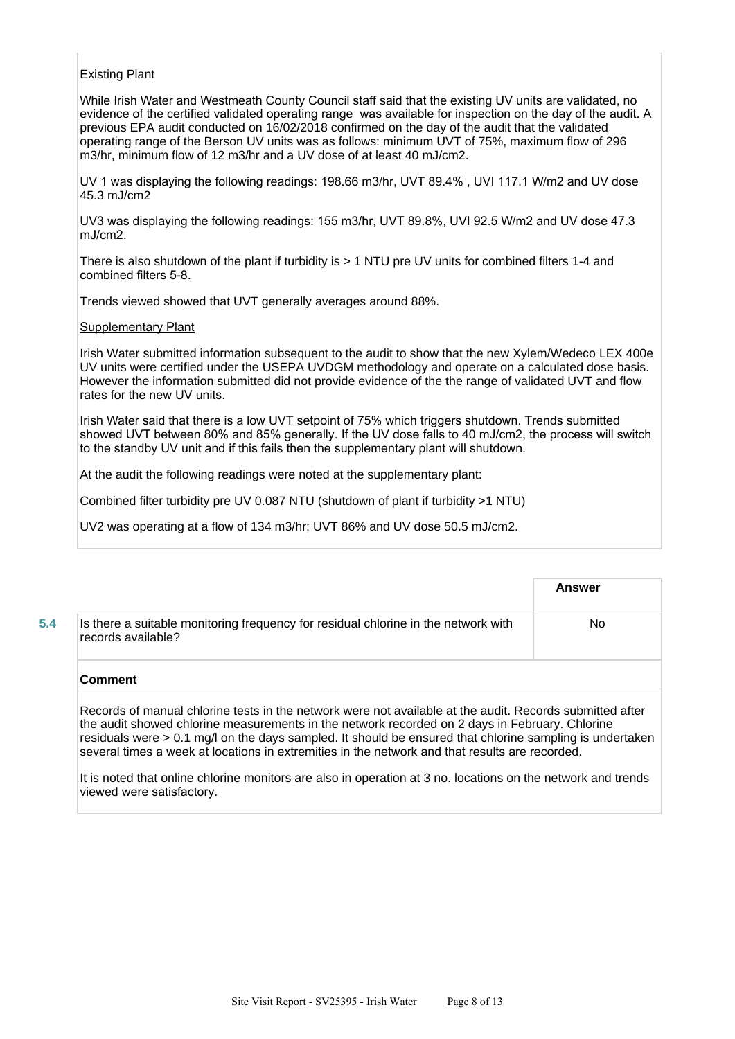## Existing Plant

While Irish Water and Westmeath County Council staff said that the existing UV units are validated, no evidence of the certified validated operating range was available for inspection on the day of the audit. A previous EPA audit conducted on 16/02/2018 confirmed on the day of the audit that the validated operating range of the Berson UV units was as follows: minimum UVT of 75%, maximum flow of 296 m3/hr, minimum flow of 12 m3/hr and a UV dose of at least 40 mJ/cm2.

UV 1 was displaying the following readings: 198.66 m3/hr, UVT 89.4% , UVI 117.1 W/m2 and UV dose 45.3 mJ/cm2

UV3 was displaying the following readings: 155 m3/hr, UVT 89.8%, UVI 92.5 W/m2 and UV dose 47.3 mJ/cm2.

There is also shutdown of the plant if turbidity is > 1 NTU pre UV units for combined filters 1-4 and combined filters 5-8.

Trends viewed showed that UVT generally averages around 88%.

### Supplementary Plant

Irish Water submitted information subsequent to the audit to show that the new Xylem/Wedeco LEX 400e UV units were certified under the USEPA UVDGM methodology and operate on a calculated dose basis. However the information submitted did not provide evidence of the the range of validated UVT and flow rates for the new UV units.

Irish Water said that there is a low UVT setpoint of 75% which triggers shutdown. Trends submitted showed UVT between 80% and 85% generally. If the UV dose falls to 40 mJ/cm2, the process will switch to the standby UV unit and if this fails then the supplementary plant will shutdown.

At the audit the following readings were noted at the supplementary plant:

Combined filter turbidity pre UV 0.087 NTU (shutdown of plant if turbidity >1 NTU)

UV2 was operating at a flow of 134 m3/hr; UVT 86% and UV dose 50.5 mJ/cm2.

|                                                                                                          | <b>Answer</b> |
|----------------------------------------------------------------------------------------------------------|---------------|
| Is there a suitable monitoring frequency for residual chlorine in the network with<br>records available? | No            |
| <b>Comment</b>                                                                                           |               |

Records of manual chlorine tests in the network were not available at the audit. Records submitted after the audit showed chlorine measurements in the network recorded on 2 days in February. Chlorine residuals were > 0.1 mg/l on the days sampled. It should be ensured that chlorine sampling is undertaken several times a week at locations in extremities in the network and that results are recorded.

It is noted that online chlorine monitors are also in operation at 3 no. locations on the network and trends viewed were satisfactory.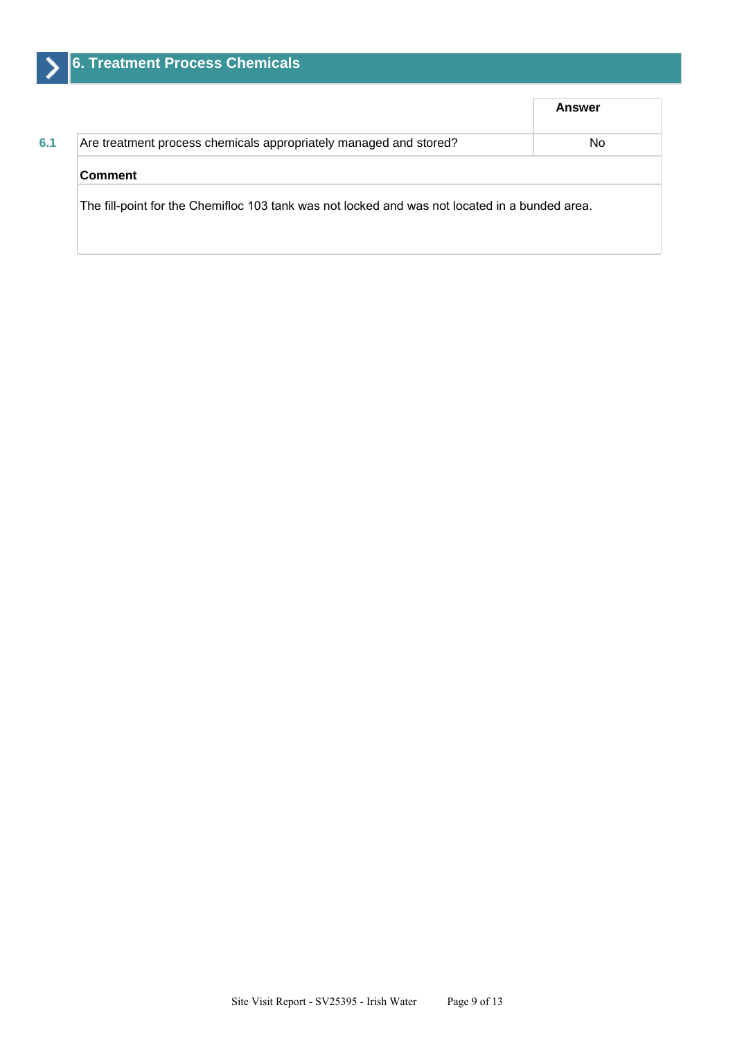|                                                                                                | <b>Answer</b> |  |
|------------------------------------------------------------------------------------------------|---------------|--|
| Are treatment process chemicals appropriately managed and stored?                              | No.           |  |
| <b>Comment</b>                                                                                 |               |  |
| The fill-point for the Chemifloc 103 tank was not locked and was not located in a bunded area. |               |  |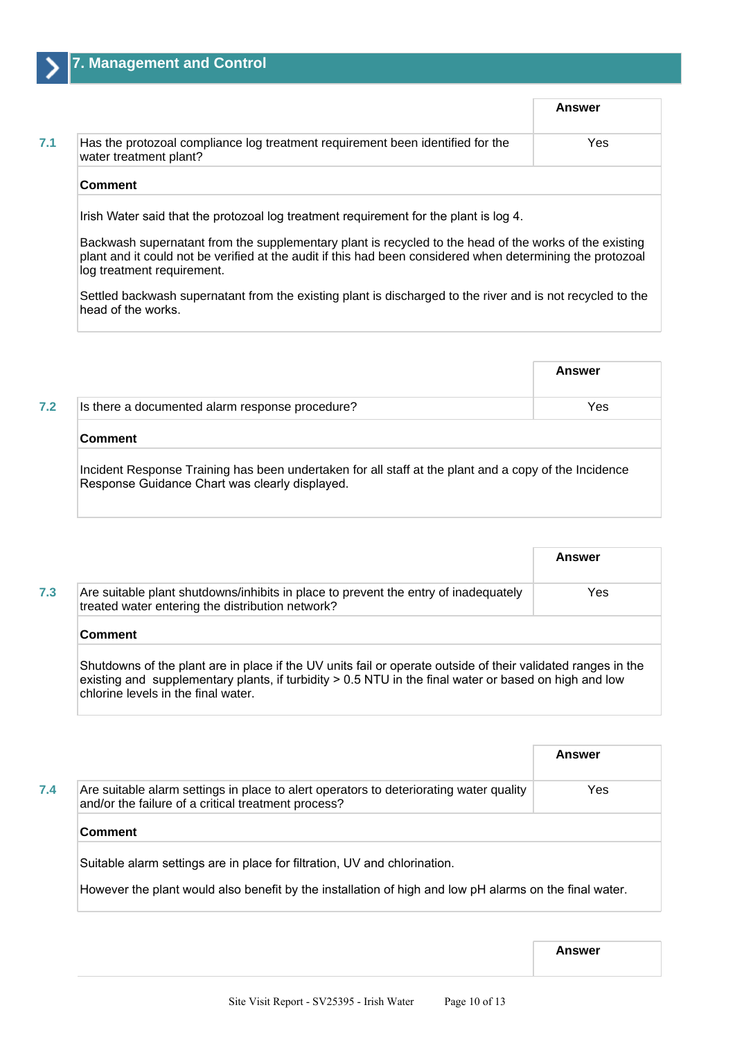|                                                                                                          | Answer |
|----------------------------------------------------------------------------------------------------------|--------|
| Has the protozoal compliance log treatment requirement been identified for the<br>water treatment plant? | Yes    |
| <b>Comment</b>                                                                                           |        |

Backwash supernatant from the supplementary plant is recycled to the head of the works of the existing plant and it could not be verified at the audit if this had been considered when determining the protozoal log treatment requirement.

Settled backwash supernatant from the existing plant is discharged to the river and is not recycled to the head of the works.

|                                                                                                                                                         | Answer |  |
|---------------------------------------------------------------------------------------------------------------------------------------------------------|--------|--|
| Is there a documented alarm response procedure?                                                                                                         | Yes    |  |
| <b>Comment</b>                                                                                                                                          |        |  |
| Incident Response Training has been undertaken for all staff at the plant and a copy of the Incidence<br>Response Guidance Chart was clearly displayed. |        |  |

|                                                                                                                                                                                                                                                                | Answer |  |
|----------------------------------------------------------------------------------------------------------------------------------------------------------------------------------------------------------------------------------------------------------------|--------|--|
| Are suitable plant shutdowns/inhibits in place to prevent the entry of inadequately<br>treated water entering the distribution network?                                                                                                                        | Yes    |  |
| <b>Comment</b>                                                                                                                                                                                                                                                 |        |  |
| Shutdowns of the plant are in place if the UV units fail or operate outside of their validated ranges in the<br>existing and supplementary plants, if turbidity $> 0.5$ NTU in the final water or based on high and low<br>chlorine levels in the final water. |        |  |

|                                                                                                                                               | Answer                                                                                                 |
|-----------------------------------------------------------------------------------------------------------------------------------------------|--------------------------------------------------------------------------------------------------------|
| Are suitable alarm settings in place to alert operators to deteriorating water quality<br>and/or the failure of a critical treatment process? | Yes                                                                                                    |
| Comment                                                                                                                                       |                                                                                                        |
| Suitable alarm settings are in place for filtration, UV and chlorination.                                                                     |                                                                                                        |
|                                                                                                                                               | However the plant would also benefit by the installation of high and low pH alarms on the final water. |

**Answer**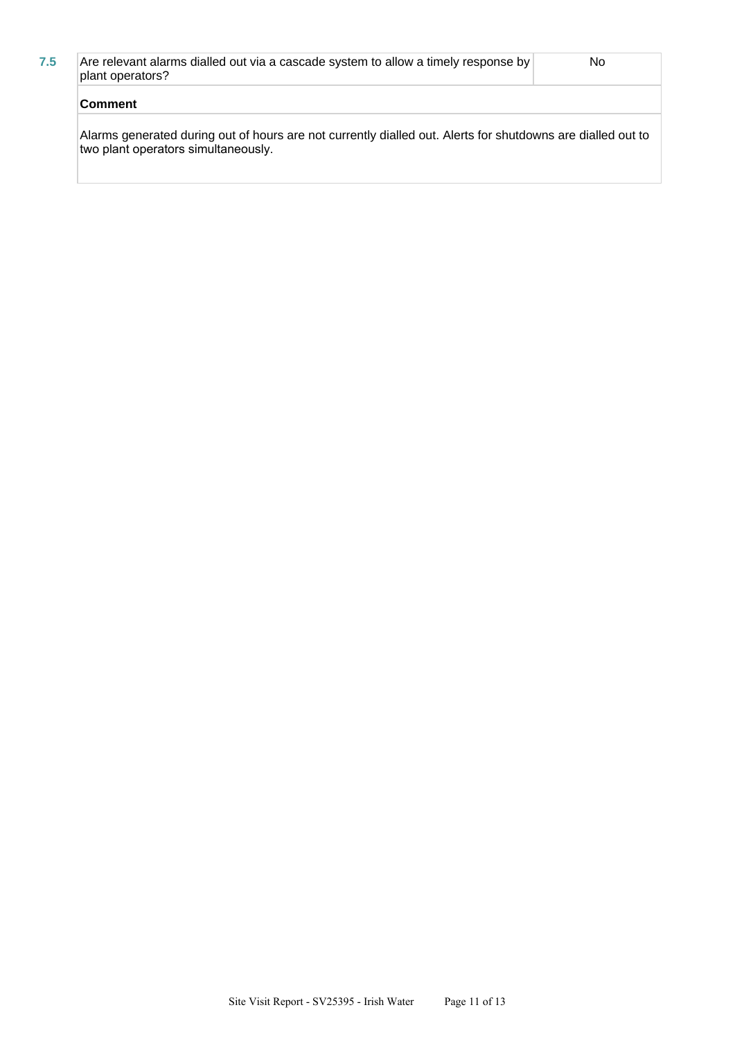| <b>Comment</b>                                                                                         |    |
|--------------------------------------------------------------------------------------------------------|----|
| Are relevant alarms dialled out via a cascade system to allow a timely response by<br>plant operators? | No |

Alarms generated during out of hours are not currently dialled out. Alerts for shutdowns are dialled out to two plant operators simultaneously.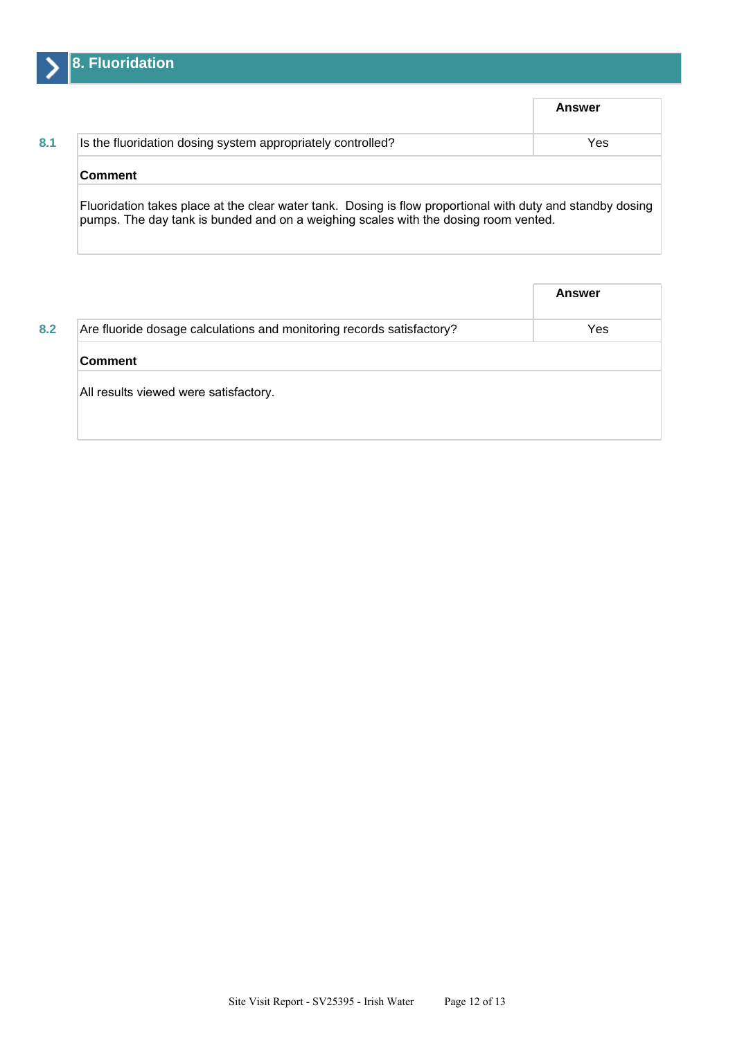

|                                                             | Answer |
|-------------------------------------------------------------|--------|
| Is the fluoridation dosing system appropriately controlled? | Yes    |
| <b>Comment</b>                                              |        |

|                                                                       | <b>Answer</b> |
|-----------------------------------------------------------------------|---------------|
| Are fluoride dosage calculations and monitoring records satisfactory? | Yes           |
| ∣Comment                                                              |               |